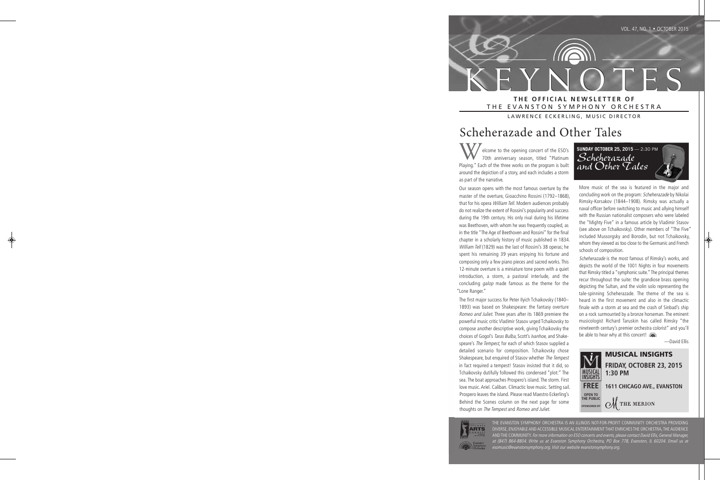K E Y N O T E S **T H E O F F I C I A L N E W S L E T T E R O F** THE EVANSTON SYMPHONY ORCHESTRA

LAWRENCE ECKERLING, MUSIC DIRECTOR

# Scheherazade and Other Tales

elcome to the opening concert of the ESO's 70th anniversary season, titled "Platinum Playing." Each of the three works on the program is built around the depiction of a story, and each includes a storm as part of the narrative.

Our season opens with the most famous overture by the master of the overture, Gioacchino Rossini (1792–1868), that for his opera William Tell. Modern audiences probably do not realize the extent of Rossini's popularity and success during the 19th century. His only rival during his lifetime was Beethoven, with whom he was frequently coupled, as in the title "The Age of Beethoven and Rossini" for the final chapter in a scholarly history of music published in 1834. William Tell (1829) was the last of Rossini's 38 operas; he spent his remaining 39 years enjoying his fortune and composing only a few piano pieces and sacred works. This 12-minute overture is a miniature tone poem with a quiet introduction, a storm, a pastoral interlude, and the concluding galop made famous as the theme for the "Lone Ranger."

The first major success for Peter Ilyich Tchaikovsky (1840– 1893) was based on Shakespeare: the fantasy overture Romeo and Juliet. Three years after its 1869 premiere the powerful music critic Vladimir Stasov urged Tchaikovsky to compose another descriptive work, giving Tchaikovsky the choices of Gogol's Taras Bulba, Scott's Ivanhoe, and Shakespeare's The Tempest, for each of which Stasov supplied a detailed scenario for composition. Tchaikovsky chose Shakespeare, but enquired of Stasov whether The Tempest in fact required a tempest! Stasov insisted that it did, so Tchaikovsky dutifully followed this condensed "plot:" The sea. The boat approaches Prospero's island. The storm. First love music. Ariel. Caliban. Climactic love music. Setting sail. Prospero leaves the island. Please read Maestro Eckerling's Behind the Scenes column on the next page for some thoughts on The Tempest and Romeo and Juliet.

**SUNDAY OCTOBER 25, 2015** — 2:30 PM *Scheherazade and Other Tales*

More music of the sea is featured in the major and concluding work on the program: Scheherazade by Nikolai Rimsky-Korsakov (1844–1908). Rimsky was actually a naval officer before switching to music and allying himself with the Russian nationalist composers who were labeled the "Mighty Five" in a famous article by Vladimir Stasov (see above on Tchaikovsky). Other members of "The Five" included Mussorgsky and Borodin, but not Tchaikovsky, whom they viewed as too close to the Germanic and French schools of composition.

Scheherazade is the most famous of Rimsky's works, and depicts the world of the 1001 Nights in four movements that Rimsky titled a "symphonic suite." The principal themes recur throughout the suite: the grandiose brass opening depicting the Sultan, and the violin solo representing the tale-spinning Scheherazade. The theme of the sea is heard in the first movement and also in the climactic finale with a storm at sea and the crash of Sinbad's ship on a rock surmounted by a bronze horseman. The eminent musicologist Richard Taruskin has called Rimsky "the nineteenth century's premier orchestra colorist" and you'll be able to hear why at this concert!

—David Ellis





THE EVANSTON SYMPHONY ORCHESTRA IS AN ILLINOIS NOT-FOR-PROFIT COMMUNITY ORCHESTRA PROVIDING DIVERSE, ENJOYABLE AND ACCESSIBLE MUSICAL ENTERTAINMENT THAT ENRICHES THE ORCHESTRA, THE AUDIENCE AND THE COMMUNITY. For more information on ESO concerts and events, please contact David Ellis, General Manager, at (847) 864-8804. Write us at Evanston Symphony Orchestra, PO Box 778, Evanston, IL 60204. Email us at esomusic@evanstonsymphony.org. Visit our website evanstonsymphony.org.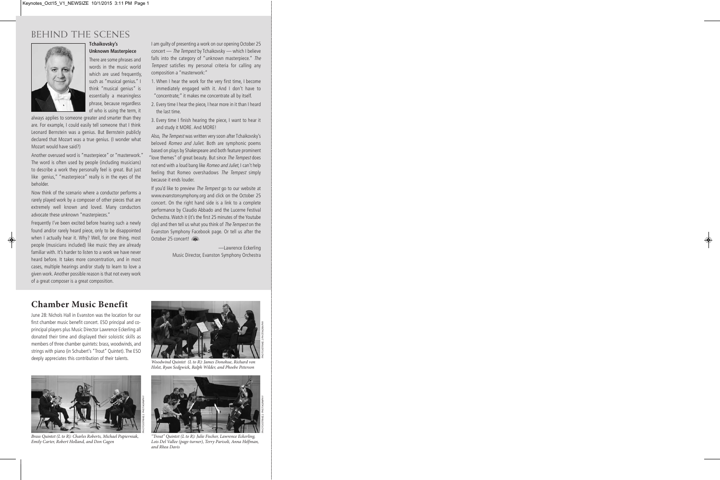## BEHIND THE SCENES



#### **Tchaikovsky's Unknown Masterpiece**

There are some phrases and words in the music world which are used frequently, such as "musical genius." I think "musical genius" is essentially a meaningless phrase, because regardless of who is using the term, it

always applies to someone greater and smarter than they are. For example, I could easily tell someone that I think Leonard Bernstein was a genius. But Bernstein publicly declared that Mozart was a true genius. (I wonder what Mozart would have said?)

Another overused word is "masterpiece" or "masterwork." The word is often used by people (including musicians) to describe a work they personally feel is great. But just like genius," "masterpiece" really is in the eyes of the beholder.

Now think of the scenario where a conductor performs a rarely played work by a composer of other pieces that are extremely well known and loved. Many conductors advocate these unknown "masterpieces."

Frequently I've been excited before hearing such a newly found and/or rarely heard piece, only to be disappointed when I actually hear it. Why? Well, for one thing, most people (musicians included) like music they are already familiar with. It's harder to listen to a work we have never heard before. It takes more concentration, and in most cases, multiple hearings and/or study to learn to love a given work. Another possible reason is that not every work of a great composer is a great composition.

I am guilty of presenting a work on our opening October 25 concert — The Tempest by Tchaikovsky — which I believe falls into the category of "unknown masterpiece." The Tempest satisfies my personal criteria for calling any composition a "masterwork:"

- 1. When I hear the work for the very first time, I become immediately engaged with it. And I don't have to "concentrate;" it makes me concentrate all by itself.
- 2. Every time I hear the piece, I hear more in it than I heard the last time.
- 3. Every time I finish hearing the piece, I want to hear it and study it MORE. And MORE!

Also, The Tempest was written very soon after Tchaikovsky's beloved Romeo and Juliet. Both are symphonic poems based on plays by Shakespeare and both feature prominent "love themes" of great beauty. But since The Tempest does not end with a loud bang like Romeo and Juliet, I can't help feeling that Romeo overshadows The Tempest simply because it ends louder.

If you'd like to preview The Tempest go to our website at www.evanstonsymphony.org and click on the October 25 concert. On the right hand side is a link to a complete performance by Claudio Abbado and the Lucerne Festival Orchestra. Watch it (it's the first 25 minutes of the Youtube clip) and then tell us what you think of The Tempest on the Evanston Symphony Facebook page. Or tell us after the October 25 concert!

> —Lawrence Eckerling Music Director, Evanston Symphony Orchestra

### **chamber Music benefit**

June 28: Nichols Hall in Evanston was the location for our first chamber music benefit concert. ESO principal and coprincipal players plus Music Director Lawrence Eckerling all donated their time and displayed their soloistic skills as members of three chamber quintets: brass, woodwinds, and strings with piano (in Schubert's "Trout" Quintet). The ESO deeply appreciates this contribution of their talents.



Brass Quintet (L to R): Charles Roberts, Michael Papierniak, Emily Carter, Robert Holland, and Don Cagen



PHOTO/STRIKE 2 PHOTAGRAPHY

Woodwind Quintet (L to R): James Donohue, Richard von Holst, Ryan Sedgwick, Ralph Wilder, and Phoebe Peterson



"Trout" Quintet (L to R): Julie Fischer, Lawrence Eckerling, Lois Del Vallee (page-turner), Terry Parisoli, Anna Helfman, and Rhea Davis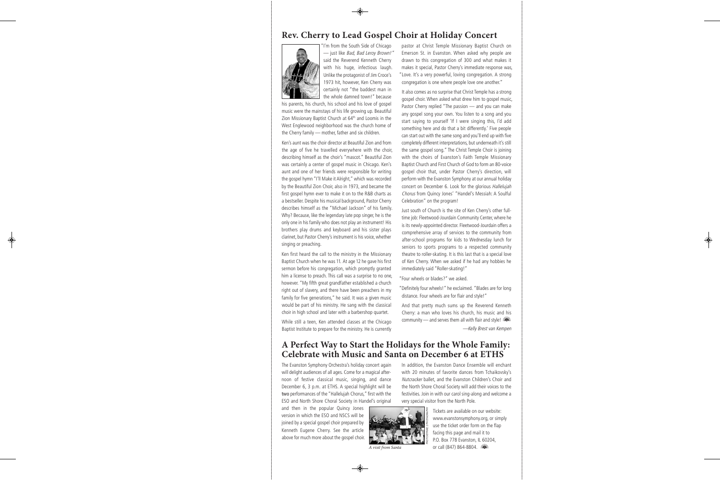### **rev. cherry to lead Gospel choir at holiday concert**



"I'm from the South Side of Chicago — just like Bad, Bad Leroy Brown!" said the Reverend Kenneth Cherry with his huge, infectious laugh. Unlike the protagonist of Jim Croce's 1973 hit, however, Ken Cherry was certainly not "the baddest man in the whole damned town!" because

his parents, his church, his school and his love of gospel music were the mainstays of his life growing up. Beautiful Zion Missionary Baptist Church at 64<sup>th</sup> and Loomis in the West Englewood neighborhood was the church home of the Cherry family — mother, father and six children.

Ken's aunt was the choir director at Beautiful Zion and from the age of five he travelled everywhere with the choir, describing himself as the choir's "mascot." Beautiful Zion was certainly a center of gospel music in Chicago. Ken's aunt and one of her friends were responsible for writing the gospel hymn "I'll Make it Alright," which was recorded by the Beautiful Zion Choir, also in 1973, and became the first gospel hymn ever to make it on to the R&B charts as a bestseller. Despite his musical background, Pastor Cherry describes himself as the "Michael Jackson" of his family. Why? Because, like the legendary late pop singer, he is the only one in his family who does not play an instrument! His brothers play drums and keyboard and his sister plays clarinet, but Pastor Cherry's instrument is his voice, whether singing or preaching.

Ken first heard the call to the ministry in the Missionary Baptist Church when he was 11. At age 12 he gave his first sermon before his congregation, which promptly granted him a license to preach. This call was a surprise to no one, however. "My fifth great grandfather established a church right out of slavery, and there have been preachers in my family for five generations," he said. It was a given music would be part of his ministry. He sang with the classical choir in high school and later with a barbershop quartet.

While still a teen, Ken attended classes at the Chicago Baptist Institute to prepare for the ministry. He is currently

pastor at Christ Temple Missionary Baptist Church on Emerson St. in Evanston. When asked why people are drawn to this congregation of 300 and what makes it makes it special, Pastor Cherry's immediate response was, "Love. It's a very powerful, loving congregation. A strong congregation is one where people love one another."

It also comes as no surprise that Christ Temple has a strong gospel choir. When asked what drew him to gospel music, Pastor Cherry replied "The passion — and you can make any gospel song your own. You listen to a song and you start saying to yourself 'If I were singing this, I'd add something here and do that a bit differently.' Five people can start out with the same song and you'll end up with five completely different interpretations, but underneath it's still the same gospel song." The Christ Temple Choir is joining with the choirs of Evanston's Faith Temple Missionary Baptist Church and First Church of God to form an 80-voice gospel choir that, under Pastor Cherry's direction, will perform with the Evanston Symphony at our annual holiday concert on December 6. Look for the glorious Hallelujah Chorus from Quincy Jones' "Handel's Messiah: A Soulful Celebration" on the program!

Just south of Church is the site of Ken Cherry's other fulltime job: Fleetwood-Jourdain Community Center, where he is its newly-appointed director. Fleetwood-Jourdain offers a comprehensive array of services to the community from after-school programs for kids to Wednesday lunch for seniors to sports programs to a respected community theatre to roller-skating. It is this last that is a special love of Ken Cherry. When we asked if he had any hobbies he immediately said "Roller-skating!"

"Four wheels or blades?" we asked.

"Definitely four wheels!" he exclaimed. "Blades are for long distance. Four wheels are for flair and style!"

And that pretty much sums up the Reverend Kenneth Cherry: a man who loves his church, his music and his community — and serves them all with flair and style!

—Kelly Brest van Kempen

### **a perfect Way to Start the holidays for the Whole Family: Celebrate with Music and Santa on December 6 at ETHS**

The Evanston Symphony Orchestra's holiday concert again will delight audiences of all ages. Come for a magical afternoon of festive classical music, singing, and dance December 6, 3 p.m. at ETHS. A special highlight will be two performances of the "Hallelujah Chorus," first with the ESO and North Shore Choral Society in Handel's original

and then in the popular Quincy Jones version in which the ESO and NSCS will be joined by a special gospel choir prepared by Kenneth Eugene Cherry. See the article above for much more about the gospel choir.



A visit from Santa

In addition, the Evanston Dance Ensemble will enchant with 20 minutes of favorite dances from Tchaikovsky's Nutcracker ballet, and the Evanston Children's Choir and the North Shore Choral Society will add their voices to the festivities. Join in with our carol sing-along and welcome a very special visitor from the North Pole.

> Tickets are available on our website: www.evanstonsymphony.org, or simply use the ticket order form on the flap facing this page and mail it to P.O. Box 778 Evanston, IL 60204, or call (847) 864-8804.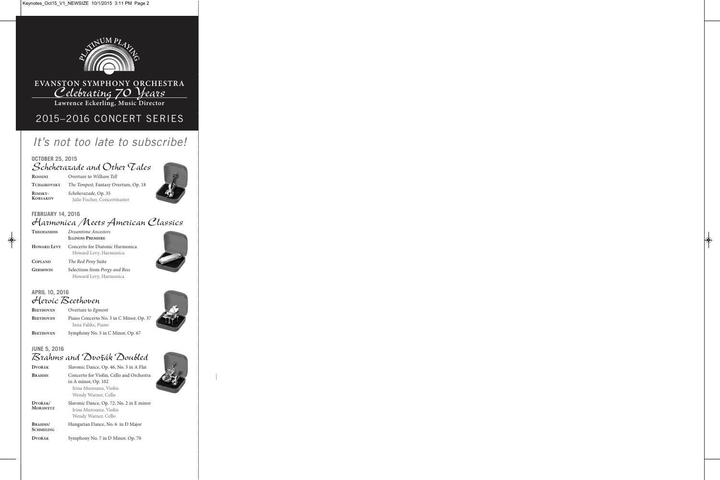

## **EVANSTON SYMPHONY ORCHESTRA** *Celebrating 70 Years*

**Lawrence Eckerling, Music Director**

# 2015–2016 CONCERT SERIES

# *It's not too late to subscribe!*

#### **OCTOBER 25, 2015** *Scheherazade and Other Tales*

**ROSSINI** Overture to William Tell TCHAIKOVSKY The Tempest; Fantasy Overture, Op. 18 **RIMSKY-** Scheherazade, Op. 35<br>**KORSAKOV** Lulia Fischen Canad **Iulie Fischer, Concertmaster** 



#### **FEBRUARY 14, 2016**

## *Harmonica Meets American Classics*

| <b>THEOFANIDIS</b> | Dreamtime Ancestors                                       |
|--------------------|-----------------------------------------------------------|
|                    | <b>ILLINOIS PREMIERE</b>                                  |
| <b>HOWARD LEVY</b> | Concerto for Diatonic Harmonica<br>Howard Levy, Harmonica |
| <b>COPLAND</b>     | The Red Pony Suite                                        |
| <b>GERSHWIN</b>    | Selections from Porgy and Bess<br>Howard Levy, Harmonica  |

#### **APRIL 10, 2016** *Heroic Beethoven*

**BEETHOVEN** Overture to Egmont **BEETHOVEN** Piano Concerto No. 3 in C Minor, Op. 37 Inna Faliks, Piano **BEETHOVEN** Symphony No. 5 in C Minor, Op. 67





### **JUNE 5, 2016** *Brahms and Dvorák Doubled*

**dvořák** Slavonic Dance, Op. 46, No. 3 in A Flat BRAHMS Concerto for Violin, Cello and Orchestra in A minor, Op. 102 Irina Muresanu, Violin Wendy Warner, Cello **dvořák/** Slavonic Dance, Op. 72, No. 2 in E minor **MoraWetz** Irina Muresanu, Violin Wendy Warner, Cello BRAHMS/ Hungarian Dance, No. 6 in D Major **SCHMELING dvořák** Symphony No. 7 in D Minor, Op. 70

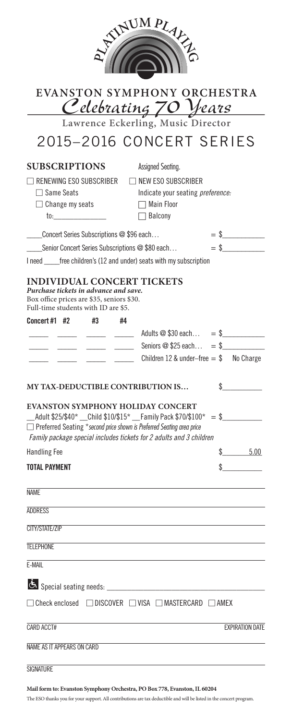|                                                                                                                                                                                                               |          | WUMPLAKE                                                                                                                                  |                        |
|---------------------------------------------------------------------------------------------------------------------------------------------------------------------------------------------------------------|----------|-------------------------------------------------------------------------------------------------------------------------------------------|------------------------|
|                                                                                                                                                                                                               |          |                                                                                                                                           |                        |
|                                                                                                                                                                                                               |          | EVANSTON SYMPHONY ORCHESTRA<br><u>Celebrating 70 Years</u>                                                                                |                        |
|                                                                                                                                                                                                               |          | Lawrence Eckerling, Music Director                                                                                                        |                        |
|                                                                                                                                                                                                               |          | 2015-2016 CONCERT SERIES                                                                                                                  |                        |
| <b>SUBSCRIPTIONS</b><br>$\sqcap$ renewing ESO subscriber<br>$\Box$ Same Seats<br>$\Box$ Change my seats                                                                                                       |          | Assigned Seating.<br>$\Box$ NEW ESO SUBSCRIBER<br>Indicate your seating preference:<br>$\Box$ Main Floor<br>$\Box$ Balcony                |                        |
| Concert Series Subscriptions @ \$96 each                                                                                                                                                                      |          |                                                                                                                                           | $=$ \$                 |
| Senior Concert Series Subscriptions @ \$80 each                                                                                                                                                               |          |                                                                                                                                           | $=$ \$                 |
|                                                                                                                                                                                                               |          | I need ______ free children's (12 and under) seats with my subscription                                                                   |                        |
| Box office prices are \$35, seniors \$30.<br>Full-time students with ID are \$5.<br>Concert #1 #2                                                                                                             | #3<br>#4 |                                                                                                                                           |                        |
|                                                                                                                                                                                                               |          |                                                                                                                                           |                        |
|                                                                                                                                                                                                               |          | $\frac{1}{2}$ $\frac{1}{2}$ Seniors @ \$25 each = \$<br>$\frac{1}{2}$ $\frac{1}{2}$ $\frac{1}{2}$ Children 12 & under-free = \$ No Charge |                        |
|                                                                                                                                                                                                               |          |                                                                                                                                           |                        |
| <b>MY TAX-DEDUCTIBLE CONTRIBUTION IS</b>                                                                                                                                                                      |          |                                                                                                                                           | \$                     |
|                                                                                                                                                                                                               |          | <b>EVANSTON SYMPHONY HOLIDAY CONCERT</b>                                                                                                  |                        |
|                                                                                                                                                                                                               |          |                                                                                                                                           |                        |
|                                                                                                                                                                                                               |          | □ Preferred Seating *second price shown is Preferred Seating area price                                                                   |                        |
|                                                                                                                                                                                                               |          | Family package special includes tickets for 2 adults and 3 children                                                                       |                        |
|                                                                                                                                                                                                               |          |                                                                                                                                           |                        |
|                                                                                                                                                                                                               |          |                                                                                                                                           |                        |
|                                                                                                                                                                                                               |          |                                                                                                                                           |                        |
|                                                                                                                                                                                                               |          |                                                                                                                                           |                        |
|                                                                                                                                                                                                               |          |                                                                                                                                           |                        |
|                                                                                                                                                                                                               |          |                                                                                                                                           |                        |
|                                                                                                                                                                                                               |          |                                                                                                                                           | \$ 5.00                |
| $\_$ Adult \$25/\$40* $\_$ Child \$10/\$15* $\_$ Family Pack \$70/\$100* = \$<br><b>Handling Fee</b><br><b>TOTAL PAYMENT</b><br><b>NAME</b><br><b>ADDRESS</b><br>CITY/STATF/7IP<br><b>TELEPHONE</b><br>F-MAII |          |                                                                                                                                           |                        |
|                                                                                                                                                                                                               |          | $\Box$ Check enclosed $\Box$ DISCOVER $\Box$ VISA $\Box$ MASTERCARD $\Box$ AMEX                                                           |                        |
| CARD ACCT#                                                                                                                                                                                                    |          |                                                                                                                                           | <b>EXPIRATION DATE</b> |
|                                                                                                                                                                                                               |          |                                                                                                                                           |                        |

**Mail form to: evanston Symphony orchestra, po box 778, evanston, il 60204**

The ESO thanks you for your support. All contributions are tax deductible and will be listed in the concert program.